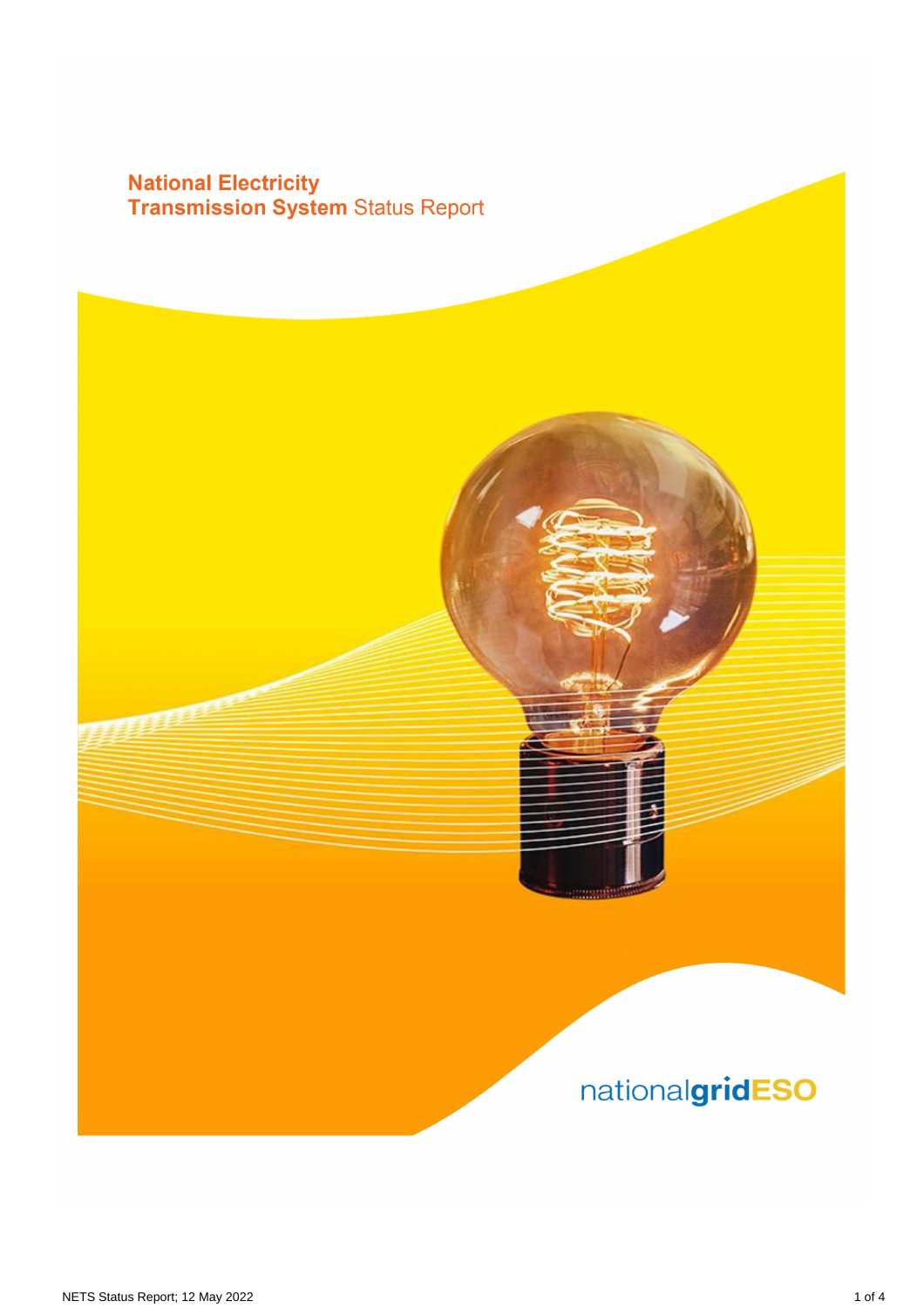# **National Electricity<br>Transmission System Status Report**

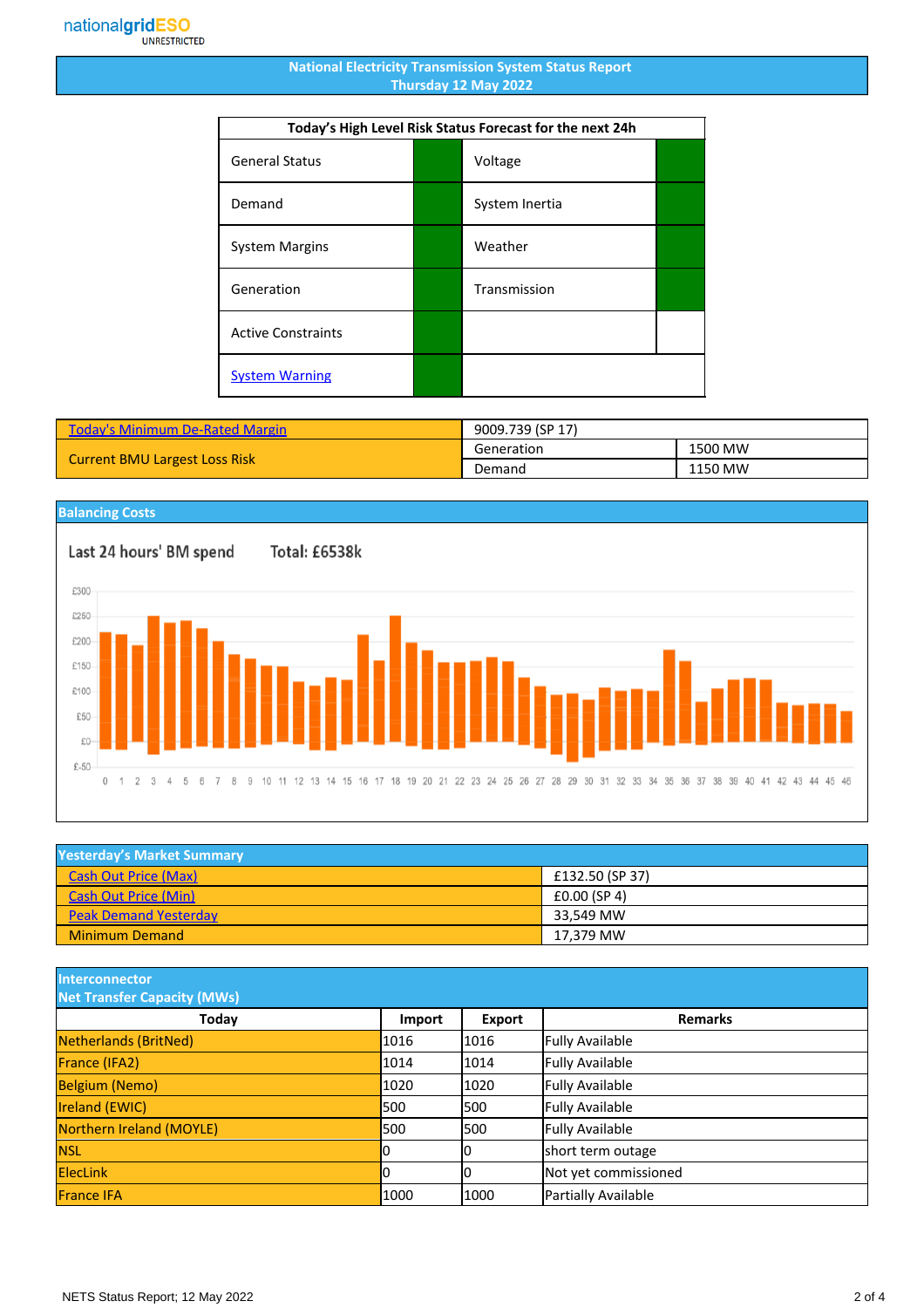#### **National Electricity Transmission System Status Report Thursday 12 May 2022**

| Today's High Level Risk Status Forecast for the next 24h |  |                |  |
|----------------------------------------------------------|--|----------------|--|
| <b>General Status</b>                                    |  | Voltage        |  |
| Demand                                                   |  | System Inertia |  |
| <b>System Margins</b>                                    |  | Weather        |  |
| Generation                                               |  | Transmission   |  |
| <b>Active Constraints</b>                                |  |                |  |
| <b>System Warning</b>                                    |  |                |  |

| Today's Minimum De-Rated Margin      | 9009.739 (SP 17) |         |
|--------------------------------------|------------------|---------|
| <b>Current BMU Largest Loss Risk</b> | Generation       | 1500 MW |
|                                      | Demand           | 1150 MW |

### **Balancing Costs**

Total: £6538k



| <b>Yesterday's Market Summary</b> |                         |  |
|-----------------------------------|-------------------------|--|
| <b>Cash Out Price (Max)</b>       | £132.50 (SP 37)         |  |
| <b>Cash Out Price (Min)</b>       | £0.00(SP <sub>4</sub> ) |  |
| <b>Peak Demand Yesterday</b>      | 33.549 MW               |  |
| <b>Minimum Demand</b>             | 17.379 MW               |  |

**Interconnector**

| <b>Net Transfer Capacity (MWs)</b> |        |               |                        |
|------------------------------------|--------|---------------|------------------------|
| Today                              | Import | <b>Export</b> | <b>Remarks</b>         |
| Netherlands (BritNed)              | 1016   | 1016          | <b>Fully Available</b> |
| France (IFA2)                      | 1014   | 1014          | <b>Fully Available</b> |
| <b>Belgium (Nemo)</b>              | 1020   | 1020          | <b>Fully Available</b> |
| Ireland (EWIC)                     | 500    | 1500          | <b>Fully Available</b> |
| Northern Ireland (MOYLE)           | 500    | 1500          | <b>Fully Available</b> |
| <b>NSL</b>                         |        | IО            | short term outage      |
| <b>ElecLink</b>                    |        | 10            | Not yet commissioned   |
| <b>France IFA</b>                  | 1000   | 1000          | Partially Available    |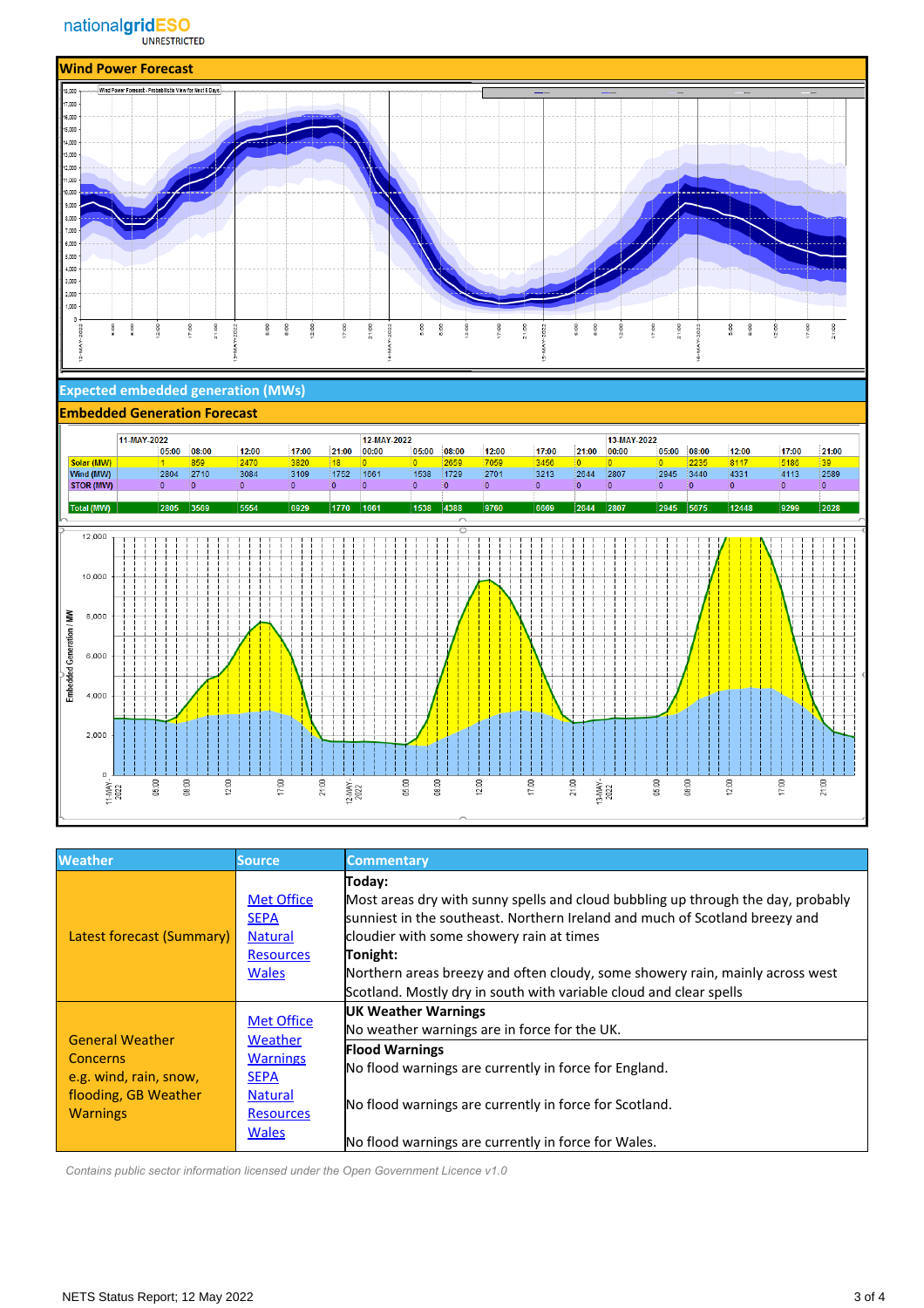

#### **Expected embedded generation (MWs)**

#### **Embedded Generation Forecast** 11-MAY-2022 12-MAY-2022 13-MAY-2022  $21:00$ 12:00 17:00  $12:00$ 17:00  $05:00$  08:00 12:00 17:00 05:00 08:00 21:00  $00:00$  $05:00$  08:00  $00:00$ Solar (MW)<br>Wind (MW)<br>STOR (MW)  $\frac{2470}{3084}$  $\frac{3820}{3109}$  $\frac{18}{1752}$  $\frac{8117}{4331}$  $\frac{1}{2804}$   $\frac{859}{2710}$  $\frac{5186}{4113}$ 1661  $\frac{6}{1538}$  1729  $\frac{1000}{2701}$  $3213$  $2644$ 2807  $2945$  3440  $\overline{0}$ ۱o 0 ١o 5554 9760 2945 5675 12448 Total (MW) 6929 1770 1538 9299 2805 3569  $|1661$ 4388 6669 2807 12,000 10,000 Š 8,000 Embedded Generation  $6,000$ 4,000 2,000  $\mathbf{o}$ 17:00 12-MAY-<br>2022  $21:00$ 13-MAY-<br>2022 05:00 08:00  $12:00$ 21:00 05:00 08:00  $12:00$  $17:00$ 05:00  $08:00$ 12:00 17:00 11-MAY-<br>2022

| <b>Weather</b>                                                                                                 | <b>Source</b>                                                                                                        | <b>Commentary</b>                                                                                                                                                                                                                                                                                                                                                                        |
|----------------------------------------------------------------------------------------------------------------|----------------------------------------------------------------------------------------------------------------------|------------------------------------------------------------------------------------------------------------------------------------------------------------------------------------------------------------------------------------------------------------------------------------------------------------------------------------------------------------------------------------------|
| Latest forecast (Summary)                                                                                      | <b>Met Office</b><br><b>SEPA</b><br><b>Natural</b><br><b>Resources</b><br><b>Wales</b>                               | Today:<br>Most areas dry with sunny spells and cloud bubbling up through the day, probably<br>sunniest in the southeast. Northern Ireland and much of Scotland breezy and<br>cloudier with some showery rain at times<br>Tonight:<br>Northern areas breezy and often cloudy, some showery rain, mainly across west<br>Scotland. Mostly dry in south with variable cloud and clear spells |
| <b>General Weather</b><br><b>Concerns</b><br>e.g. wind, rain, snow,<br>flooding, GB Weather<br><b>Warnings</b> | <b>Met Office</b><br>Weather<br><b>Warnings</b><br><b>SEPA</b><br><b>Natural</b><br><b>Resources</b><br><b>Wales</b> | <b>UK Weather Warnings</b><br>No weather warnings are in force for the UK.<br><b>Flood Warnings</b><br>No flood warnings are currently in force for England.<br>No flood warnings are currently in force for Scotland.<br>No flood warnings are currently in force for Wales.                                                                                                            |

 *Contains public sector information licensed under the Open Government Licence v1.0*

 $21:00$ 

 $2589$ 

2628

 $\mathbf{0}$ 

21:00